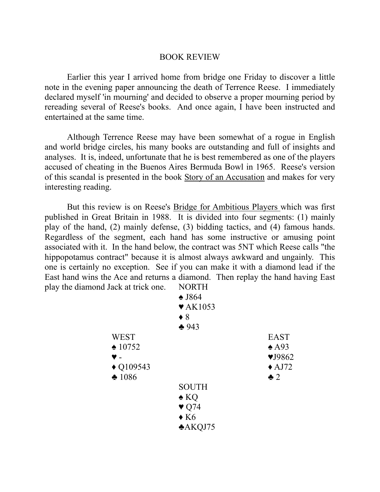## BOOK REVIEW

Earlier this year I arrived home from bridge one Friday to discover a little note in the evening paper announcing the death of Terrence Reese. I immediately declared myself 'in mourning' and decided to observe a proper mourning period by rereading several of Reese's books. And once again, I have been instructed and entertained at the same time.

Although Terrence Reese may have been somewhat of a rogue in English and world bridge circles, his many books are outstanding and full of insights and analyses. It is, indeed, unfortunate that he is best remembered as one of the players accused of cheating in the Buenos Aires Bermuda Bowl in 1965. Reese's version of this scandal is presented in the book Story of an Accusation and makes for very interesting reading.

But this review is on Reese's Bridge for Ambitious Players which was first published in Great Britain in 1988. It is divided into four segments: (1) mainly play of the hand, (2) mainly defense, (3) bidding tactics, and (4) famous hands. Regardless of the segment, each hand has some instructive or amusing point associated with it. In the hand below, the contract was 5NT which Reese calls "the hippopotamus contract" because it is almost always awkward and ungainly. This one is certainly no exception. See if you can make it with a diamond lead if the East hand wins the Ace and returns a diamond. Then replay the hand having East play the diamond Jack at trick one. NORTH

| noma vacu at arcu one. |                             |                               |
|------------------------|-----------------------------|-------------------------------|
|                        | $\triangle$ J864            |                               |
|                        | $\blacktriangledown$ AK1053 |                               |
|                        | $\bullet$ 8                 |                               |
|                        | $*943$                      |                               |
| <b>WEST</b>            |                             | <b>EAST</b>                   |
| $\triangle$ 10752      |                             | $\triangle$ A93               |
| ♥ -                    |                             | $\blacktriangledown$ J $9862$ |
| $\triangle$ Q109543    |                             | $\triangle$ AJ72              |
| $\clubsuit$ 1086       |                             | $\clubsuit$ 2                 |
|                        | <b>SOUTH</b>                |                               |
|                        | $\triangle$ KQ              |                               |
|                        | $\blacktriangledown$ Q74    |                               |
|                        | $\triangle$ K <sub>6</sub>  |                               |
|                        | A KQJ75                     |                               |
|                        |                             |                               |